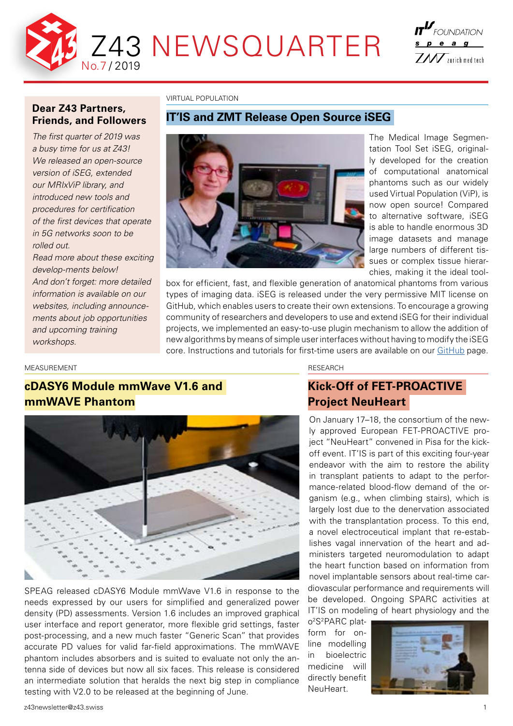

# $I\mathcal{T}^{\textit{L}\textit{r}}$  foundation s p e a g  $Z\hspace{-0.1cm}\mathcal{U}$   $\overline{Y}$  zurich med tech

## **Dear Z43 Partners, Friends, and Followers**

*The first quarter of 2019 was a busy time for us at Z43! We released an open-source version of iSEG, extended our MRIxViP library, and introduced new tools and procedures for certification of the first devices that operate in 5G networks soon to be rolled out.* 

*Read more about these exciting develop-ments below! And don't forget: more detailed information is available on our websites, including announcements about job opportunities and upcoming training workshops.*

VIRTUAL POPULATION

## **IT'IS and ZMT Release Open Source iSEG**



The Medical Image Segmentation Tool Set iSEG, originally developed for the creation of computational anatomical phantoms such as our widely used Virtual Population (ViP), is now open source! Compared to alternative software, iSEG is able to handle enormous 3D image datasets and manage large numbers of different tissues or complex tissue hierarchies, making it the ideal tool-

box for efficient, fast, and flexible generation of anatomical phantoms from various types of imaging data. iSEG is released under the very permissive MIT license on GitHub, which enables users to create their own extensions. To encourage a growing community of researchers and developers to use and extend iSEG for their individual projects, we implemented an easy-to-use plugin mechanism to allow the addition of new algorithms by means of simple user interfaces without having to modify the iSEG core. Instructions and tutorials for first-time users are available on our [GitHub](https://github.com/ITISFoundation/osparc-iseg) page.

### MEASUREMENT

# **cDASY6 Module mmWave V1.6 and mmWAVE Phantom**



SPEAG released cDASY6 Module mmWave V1.6 in response to the needs expressed by our users for simplified and generalized power density (PD) assessments. Version 1.6 includes an improved graphical user interface and report generator, more flexible grid settings, faster post-processing, and a new much faster "Generic Scan" that provides accurate PD values for valid far-field approximations. The mmWAVE phantom includes absorbers and is suited to evaluate not only the antenna side of devices but now all six faces. This release is considered an intermediate solution that heralds the next big step in compliance testing with V2.0 to be released at the beginning of June.

RESEARCH

## **Kick-Off of FET-PROACTIVE Project NeuHeart**

On January 17–18, the consortium of the newly approved European FET-PROACTIVE project "NeuHeart" convened in Pisa for the kickoff event. IT'IS is part of this exciting four-year endeavor with the aim to restore the ability in transplant patients to adapt to the performance-related blood-flow demand of the organism (e.g., when climbing stairs), which is largely lost due to the denervation associated with the transplantation process. To this end, a novel electroceutical implant that re-establishes vagal innervation of the heart and administers targeted neuromodulation to adapt the heart function based on information from novel implantable sensors about real-time cardiovascular performance and requirements will be developed. Ongoing SPARC activities at IT'IS on modeling of heart physiology and the

o2S2PARC platform for online modelling in bioelectric medicine will directly benefit NeuHeart.